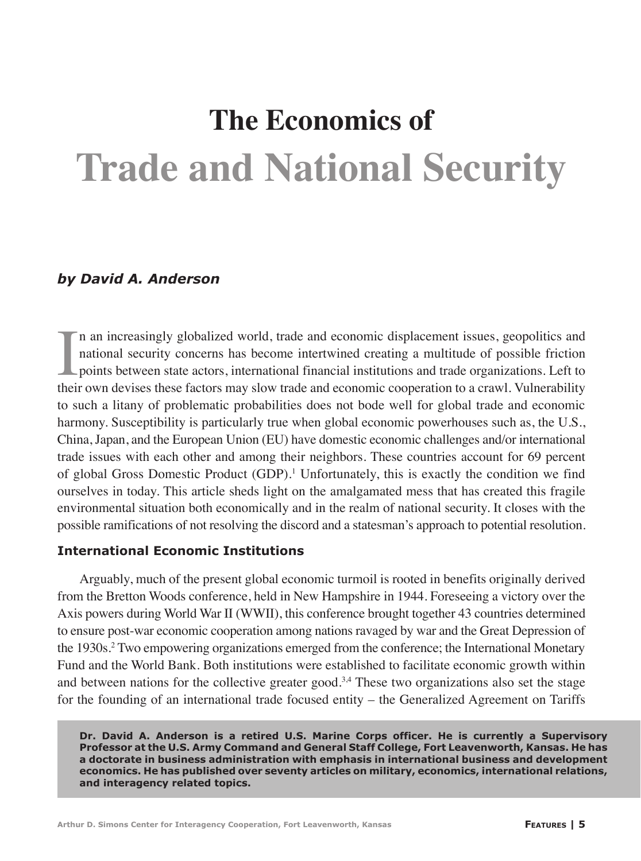# **Trade and National Security The Economics of**

## *by David A. Anderson*

In an increasingly globalized world, trade and economic displacement issues, geopolitics and national security concerns has become intertwined creating a multitude of possible friction points between state actors, internat n an increasingly globalized world, trade and economic displacement issues, geopolitics and national security concerns has become intertwined creating a multitude of possible friction points between state actors, international financial institutions and trade organizations. Left to to such a litany of problematic probabilities does not bode well for global trade and economic harmony. Susceptibility is particularly true when global economic powerhouses such as, the U.S., China, Japan, and the European Union (EU) have domestic economic challenges and/or international trade issues with each other and among their neighbors. These countries account for 69 percent of global Gross Domestic Product (GDP).<sup>1</sup> Unfortunately, this is exactly the condition we find ourselves in today. This article sheds light on the amalgamated mess that has created this fragile environmental situation both economically and in the realm of national security. It closes with the possible ramifications of not resolving the discord and a statesman's approach to potential resolution.

### **International Economic Institutions**

Arguably, much of the present global economic turmoil is rooted in benefits originally derived from the Bretton Woods conference, held in New Hampshire in 1944. Foreseeing a victory over the Axis powers during World War II (WWII), this conference brought together 43 countries determined to ensure post-war economic cooperation among nations ravaged by war and the Great Depression of the 1930s.<sup>2</sup> Two empowering organizations emerged from the conference; the International Monetary Fund and the World Bank. Both institutions were established to facilitate economic growth within and between nations for the collective greater good.<sup>3,4</sup> These two organizations also set the stage for the founding of an international trade focused entity – the Generalized Agreement on Tariffs

**Dr. David A. Anderson is a retired U.S. Marine Corps officer. He is currently a Supervisory Professor at the U.S. Army Command and General Staff College, Fort Leavenworth, Kansas. He has a doctorate in business administration with emphasis in international business and development economics. He has published over seventy articles on military, economics, international relations, and interagency related topics.**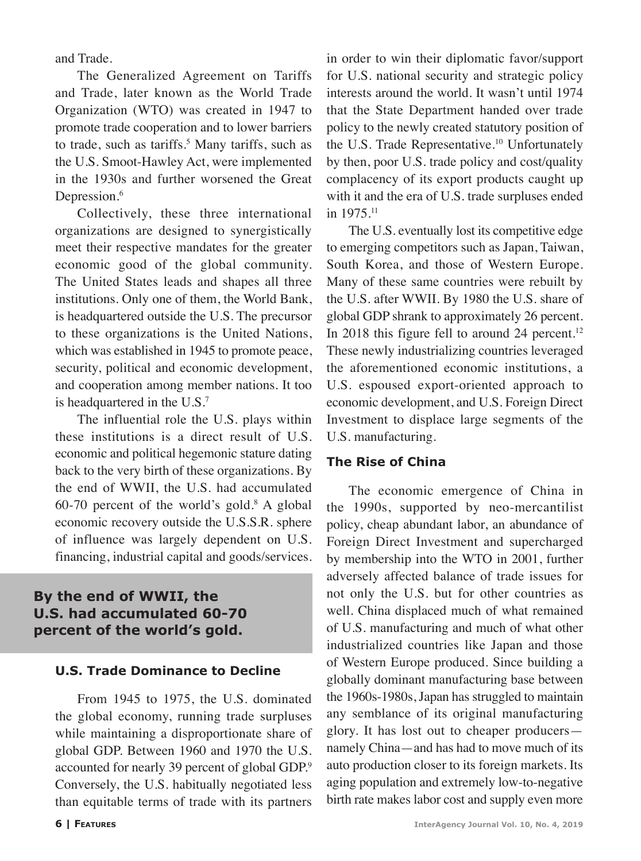and Trade.

The Generalized Agreement on Tariffs and Trade, later known as the World Trade Organization (WTO) was created in 1947 to promote trade cooperation and to lower barriers to trade, such as tariffs.<sup>5</sup> Many tariffs, such as the U.S. Smoot-Hawley Act, were implemented in the 1930s and further worsened the Great Depression.<sup>6</sup>

Collectively, these three international organizations are designed to synergistically meet their respective mandates for the greater economic good of the global community. The United States leads and shapes all three institutions. Only one of them, the World Bank, is headquartered outside the U.S. The precursor to these organizations is the United Nations, which was established in 1945 to promote peace, security, political and economic development, and cooperation among member nations. It too is headquartered in the U.S.<sup>7</sup>

The influential role the U.S. plays within these institutions is a direct result of U.S. economic and political hegemonic stature dating back to the very birth of these organizations. By the end of WWII, the U.S. had accumulated  $60-70$  percent of the world's gold.<sup>8</sup> A global economic recovery outside the U.S.S.R. sphere of influence was largely dependent on U.S. financing, industrial capital and goods/services.

# **By the end of WWII, the U.S. had accumulated 60-70 percent of the world's gold.**

### **U.S. Trade Dominance to Decline**

From 1945 to 1975, the U.S. dominated the global economy, running trade surpluses while maintaining a disproportionate share of global GDP. Between 1960 and 1970 the U.S. accounted for nearly 39 percent of global GDP.<sup>9</sup> Conversely, the U.S. habitually negotiated less than equitable terms of trade with its partners

in order to win their diplomatic favor/support for U.S. national security and strategic policy interests around the world. It wasn't until 1974 that the State Department handed over trade policy to the newly created statutory position of the U.S. Trade Representative.<sup>10</sup> Unfortunately by then, poor U.S. trade policy and cost/quality complacency of its export products caught up with it and the era of U.S. trade surpluses ended in 1975.11

The U.S. eventually lost its competitive edge to emerging competitors such as Japan, Taiwan, South Korea, and those of Western Europe. Many of these same countries were rebuilt by the U.S. after WWII. By 1980 the U.S. share of global GDP shrank to approximately 26 percent. In 2018 this figure fell to around 24 percent.<sup>12</sup> These newly industrializing countries leveraged the aforementioned economic institutions, a U.S. espoused export-oriented approach to economic development, and U.S. Foreign Direct Investment to displace large segments of the U.S. manufacturing.

#### **The Rise of China**

The economic emergence of China in the 1990s, supported by neo-mercantilist policy, cheap abundant labor, an abundance of Foreign Direct Investment and supercharged by membership into the WTO in 2001, further adversely affected balance of trade issues for not only the U.S. but for other countries as well. China displaced much of what remained of U.S. manufacturing and much of what other industrialized countries like Japan and those of Western Europe produced. Since building a globally dominant manufacturing base between the 1960s-1980s, Japan has struggled to maintain any semblance of its original manufacturing glory. It has lost out to cheaper producers namely China—and has had to move much of its auto production closer to its foreign markets. Its aging population and extremely low-to-negative birth rate makes labor cost and supply even more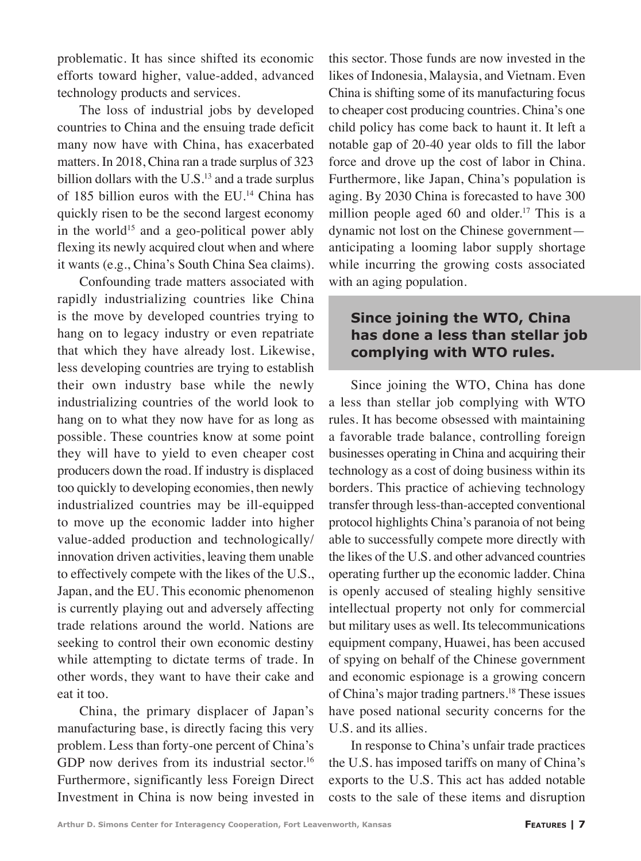problematic. It has since shifted its economic efforts toward higher, value-added, advanced technology products and services.

The loss of industrial jobs by developed countries to China and the ensuing trade deficit many now have with China, has exacerbated matters. In 2018, China ran a trade surplus of 323 billion dollars with the  $U.S.<sup>13</sup>$  and a trade surplus of 185 billion euros with the EU.<sup>14</sup> China has quickly risen to be the second largest economy in the world<sup>15</sup> and a geo-political power ably flexing its newly acquired clout when and where it wants (e.g., China's South China Sea claims).

Confounding trade matters associated with rapidly industrializing countries like China is the move by developed countries trying to hang on to legacy industry or even repatriate that which they have already lost. Likewise, less developing countries are trying to establish their own industry base while the newly industrializing countries of the world look to hang on to what they now have for as long as possible. These countries know at some point they will have to yield to even cheaper cost producers down the road. If industry is displaced too quickly to developing economies, then newly industrialized countries may be ill-equipped to move up the economic ladder into higher value-added production and technologically/ innovation driven activities, leaving them unable to effectively compete with the likes of the U.S., Japan, and the EU. This economic phenomenon is currently playing out and adversely affecting trade relations around the world. Nations are seeking to control their own economic destiny while attempting to dictate terms of trade. In other words, they want to have their cake and eat it too.

China, the primary displacer of Japan's manufacturing base, is directly facing this very problem. Less than forty-one percent of China's GDP now derives from its industrial sector.<sup>16</sup> Furthermore, significantly less Foreign Direct Investment in China is now being invested in this sector. Those funds are now invested in the likes of Indonesia, Malaysia, and Vietnam. Even China is shifting some of its manufacturing focus to cheaper cost producing countries. China's one child policy has come back to haunt it. It left a notable gap of 20-40 year olds to fill the labor force and drove up the cost of labor in China. Furthermore, like Japan, China's population is aging. By 2030 China is forecasted to have 300 million people aged 60 and older.<sup>17</sup> This is a dynamic not lost on the Chinese government anticipating a looming labor supply shortage while incurring the growing costs associated with an aging population.

## **Since joining the WTO, China has done a less than stellar job complying with WTO rules.**

Since joining the WTO, China has done a less than stellar job complying with WTO rules. It has become obsessed with maintaining a favorable trade balance, controlling foreign businesses operating in China and acquiring their technology as a cost of doing business within its borders. This practice of achieving technology transfer through less-than-accepted conventional protocol highlights China's paranoia of not being able to successfully compete more directly with the likes of the U.S. and other advanced countries operating further up the economic ladder. China is openly accused of stealing highly sensitive intellectual property not only for commercial but military uses as well. Its telecommunications equipment company, Huawei, has been accused of spying on behalf of the Chinese government and economic espionage is a growing concern of China's major trading partners.18 These issues have posed national security concerns for the U.S. and its allies.

In response to China's unfair trade practices the U.S. has imposed tariffs on many of China's exports to the U.S. This act has added notable costs to the sale of these items and disruption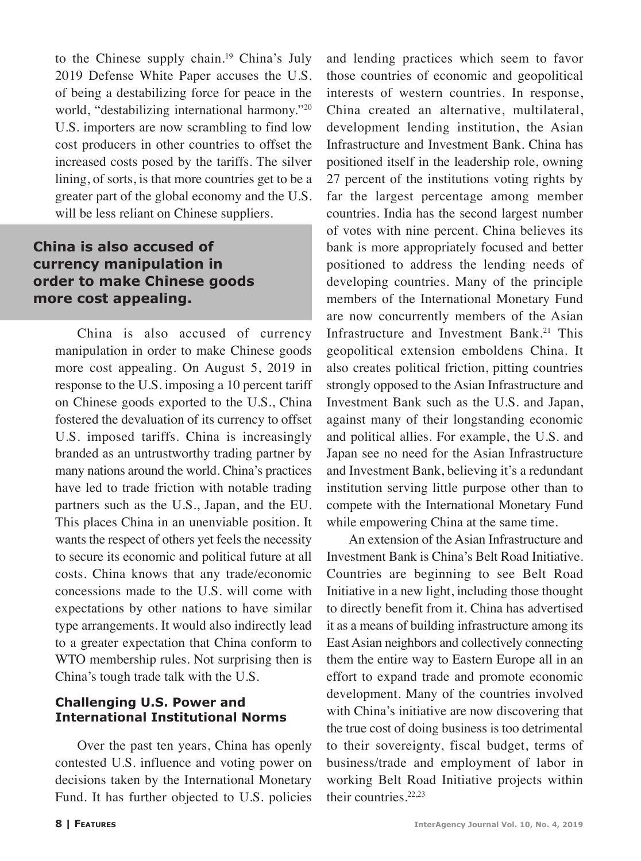to the Chinese supply chain.<sup>19</sup> China's July 2019 Defense White Paper accuses the U.S. of being a destabilizing force for peace in the world, "destabilizing international harmony."20 U.S. importers are now scrambling to find low cost producers in other countries to offset the increased costs posed by the tariffs. The silver lining, of sorts, is that more countries get to be a greater part of the global economy and the U.S. will be less reliant on Chinese suppliers.

## **China is also accused of currency manipulation in order to make Chinese goods more cost appealing.**

China is also accused of currency manipulation in order to make Chinese goods more cost appealing. On August 5, 2019 in response to the U.S. imposing a 10 percent tariff on Chinese goods exported to the U.S., China fostered the devaluation of its currency to offset U.S. imposed tariffs. China is increasingly branded as an untrustworthy trading partner by many nations around the world. China's practices have led to trade friction with notable trading partners such as the U.S., Japan, and the EU. This places China in an unenviable position. It wants the respect of others yet feels the necessity to secure its economic and political future at all costs. China knows that any trade/economic concessions made to the U.S. will come with expectations by other nations to have similar type arrangements. It would also indirectly lead to a greater expectation that China conform to WTO membership rules. Not surprising then is China's tough trade talk with the U.S.

### **Challenging U.S. Power and International Institutional Norms**

Over the past ten years, China has openly contested U.S. influence and voting power on decisions taken by the International Monetary Fund. It has further objected to U.S. policies

and lending practices which seem to favor those countries of economic and geopolitical interests of western countries. In response, China created an alternative, multilateral, development lending institution, the Asian Infrastructure and Investment Bank. China has positioned itself in the leadership role, owning 27 percent of the institutions voting rights by far the largest percentage among member countries. India has the second largest number of votes with nine percent. China believes its bank is more appropriately focused and better positioned to address the lending needs of developing countries. Many of the principle members of the International Monetary Fund are now concurrently members of the Asian Infrastructure and Investment Bank.<sup>21</sup> This geopolitical extension emboldens China. It also creates political friction, pitting countries strongly opposed to the Asian Infrastructure and Investment Bank such as the U.S. and Japan, against many of their longstanding economic and political allies. For example, the U.S. and Japan see no need for the Asian Infrastructure and Investment Bank, believing it's a redundant institution serving little purpose other than to compete with the International Monetary Fund while empowering China at the same time.

An extension of the Asian Infrastructure and Investment Bank is China's Belt Road Initiative. Countries are beginning to see Belt Road Initiative in a new light, including those thought to directly benefit from it. China has advertised it as a means of building infrastructure among its East Asian neighbors and collectively connecting them the entire way to Eastern Europe all in an effort to expand trade and promote economic development. Many of the countries involved with China's initiative are now discovering that the true cost of doing business is too detrimental to their sovereignty, fiscal budget, terms of business/trade and employment of labor in working Belt Road Initiative projects within their countries.<sup>22,23</sup>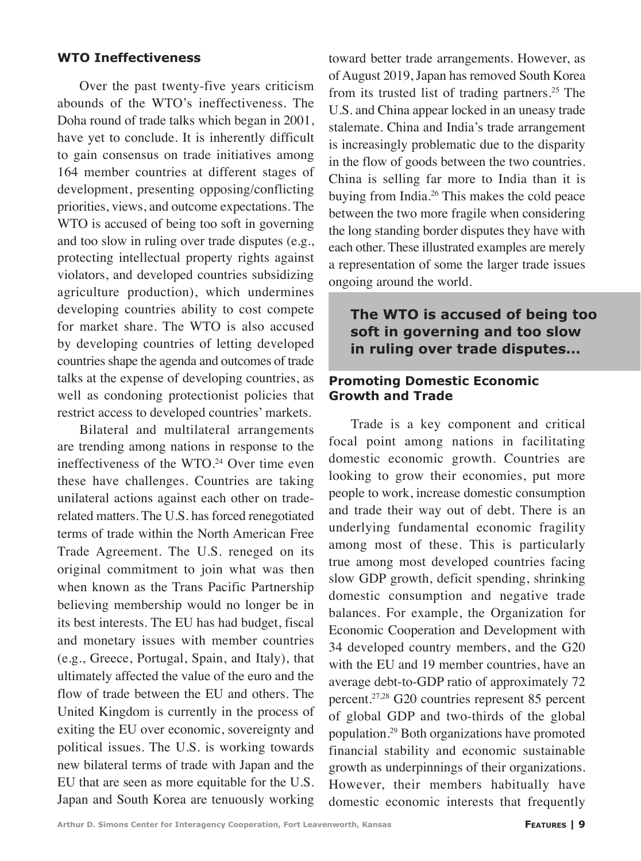#### **WTO Ineffectiveness**

Over the past twenty-five years criticism abounds of the WTO's ineffectiveness. The Doha round of trade talks which began in 2001, have yet to conclude. It is inherently difficult to gain consensus on trade initiatives among 164 member countries at different stages of development, presenting opposing/conflicting priorities, views, and outcome expectations. The WTO is accused of being too soft in governing and too slow in ruling over trade disputes (e.g., protecting intellectual property rights against violators, and developed countries subsidizing agriculture production), which undermines developing countries ability to cost compete for market share. The WTO is also accused by developing countries of letting developed countries shape the agenda and outcomes of trade talks at the expense of developing countries, as well as condoning protectionist policies that restrict access to developed countries' markets.

Bilateral and multilateral arrangements are trending among nations in response to the ineffectiveness of the WTO.<sup>24</sup> Over time even these have challenges. Countries are taking unilateral actions against each other on traderelated matters. The U.S. has forced renegotiated terms of trade within the North American Free Trade Agreement. The U.S. reneged on its original commitment to join what was then when known as the Trans Pacific Partnership believing membership would no longer be in its best interests. The EU has had budget, fiscal and monetary issues with member countries (e.g., Greece, Portugal, Spain, and Italy), that ultimately affected the value of the euro and the flow of trade between the EU and others. The United Kingdom is currently in the process of exiting the EU over economic, sovereignty and political issues. The U.S. is working towards new bilateral terms of trade with Japan and the EU that are seen as more equitable for the U.S. Japan and South Korea are tenuously working toward better trade arrangements. However, as of August 2019, Japan has removed South Korea from its trusted list of trading partners.<sup>25</sup> The U.S. and China appear locked in an uneasy trade stalemate. China and India's trade arrangement is increasingly problematic due to the disparity in the flow of goods between the two countries. China is selling far more to India than it is buying from India.26 This makes the cold peace between the two more fragile when considering the long standing border disputes they have with each other. These illustrated examples are merely a representation of some the larger trade issues ongoing around the world.

## **The WTO is accused of being too soft in governing and too slow in ruling over trade disputes...**

#### **Promoting Domestic Economic Growth and Trade**

Trade is a key component and critical focal point among nations in facilitating domestic economic growth. Countries are looking to grow their economies, put more people to work, increase domestic consumption and trade their way out of debt. There is an underlying fundamental economic fragility among most of these. This is particularly true among most developed countries facing slow GDP growth, deficit spending, shrinking domestic consumption and negative trade balances. For example, the Organization for Economic Cooperation and Development with 34 developed country members, and the G20 with the EU and 19 member countries, have an average debt-to-GDP ratio of approximately 72 percent.27,28 G20 countries represent 85 percent of global GDP and two-thirds of the global population.29 Both organizations have promoted financial stability and economic sustainable growth as underpinnings of their organizations. However, their members habitually have domestic economic interests that frequently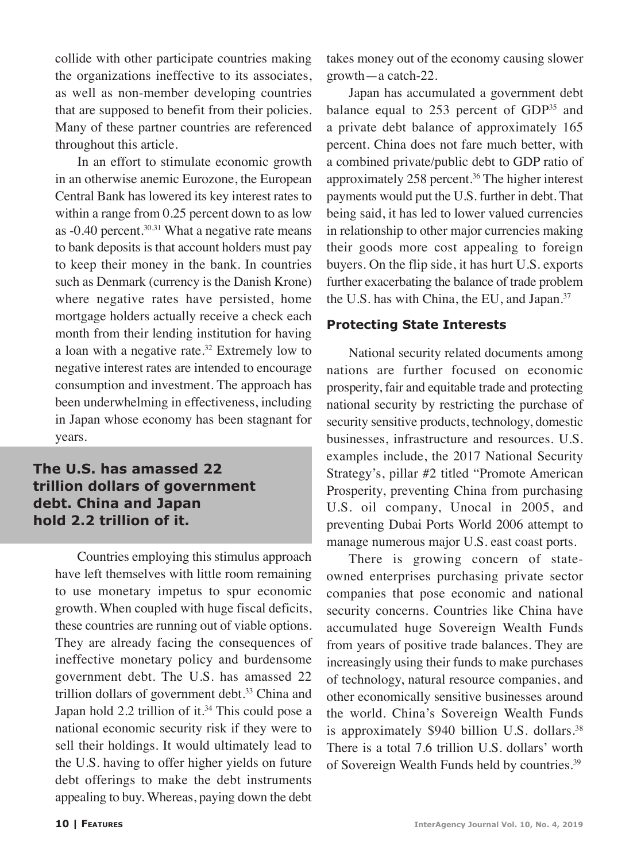collide with other participate countries making the organizations ineffective to its associates, as well as non-member developing countries that are supposed to benefit from their policies. Many of these partner countries are referenced throughout this article.

In an effort to stimulate economic growth in an otherwise anemic Eurozone, the European Central Bank has lowered its key interest rates to within a range from 0.25 percent down to as low as  $-0.40$  percent.<sup>30,31</sup> What a negative rate means to bank deposits is that account holders must pay to keep their money in the bank. In countries such as Denmark (currency is the Danish Krone) where negative rates have persisted, home mortgage holders actually receive a check each month from their lending institution for having a loan with a negative rate.<sup>32</sup> Extremely low to negative interest rates are intended to encourage consumption and investment. The approach has been underwhelming in effectiveness, including in Japan whose economy has been stagnant for years.

## **The U.S. has amassed 22 trillion dollars of government debt. China and Japan hold 2.2 trillion of it.**

Countries employing this stimulus approach have left themselves with little room remaining to use monetary impetus to spur economic growth. When coupled with huge fiscal deficits, these countries are running out of viable options. They are already facing the consequences of ineffective monetary policy and burdensome government debt. The U.S. has amassed 22 trillion dollars of government debt.<sup>33</sup> China and Japan hold 2.2 trillion of it.<sup>34</sup> This could pose a national economic security risk if they were to sell their holdings. It would ultimately lead to the U.S. having to offer higher yields on future debt offerings to make the debt instruments appealing to buy. Whereas, paying down the debt takes money out of the economy causing slower growth—a catch-22.

Japan has accumulated a government debt balance equal to  $253$  percent of  $GDP<sup>35</sup>$  and a private debt balance of approximately 165 percent. China does not fare much better, with a combined private/public debt to GDP ratio of approximately 258 percent.<sup>36</sup> The higher interest payments would put the U.S. further in debt. That being said, it has led to lower valued currencies in relationship to other major currencies making their goods more cost appealing to foreign buyers. On the flip side, it has hurt U.S. exports further exacerbating the balance of trade problem the U.S. has with China, the EU, and Japan.37

### **Protecting State Interests**

National security related documents among nations are further focused on economic prosperity, fair and equitable trade and protecting national security by restricting the purchase of security sensitive products, technology, domestic businesses, infrastructure and resources. U.S. examples include, the 2017 National Security Strategy's, pillar #2 titled "Promote American Prosperity, preventing China from purchasing U.S. oil company, Unocal in 2005, and preventing Dubai Ports World 2006 attempt to manage numerous major U.S. east coast ports.

There is growing concern of stateowned enterprises purchasing private sector companies that pose economic and national security concerns. Countries like China have accumulated huge Sovereign Wealth Funds from years of positive trade balances. They are increasingly using their funds to make purchases of technology, natural resource companies, and other economically sensitive businesses around the world. China's Sovereign Wealth Funds is approximately  $$940$  billion U.S. dollars.<sup>38</sup> There is a total 7.6 trillion U.S. dollars' worth of Sovereign Wealth Funds held by countries.39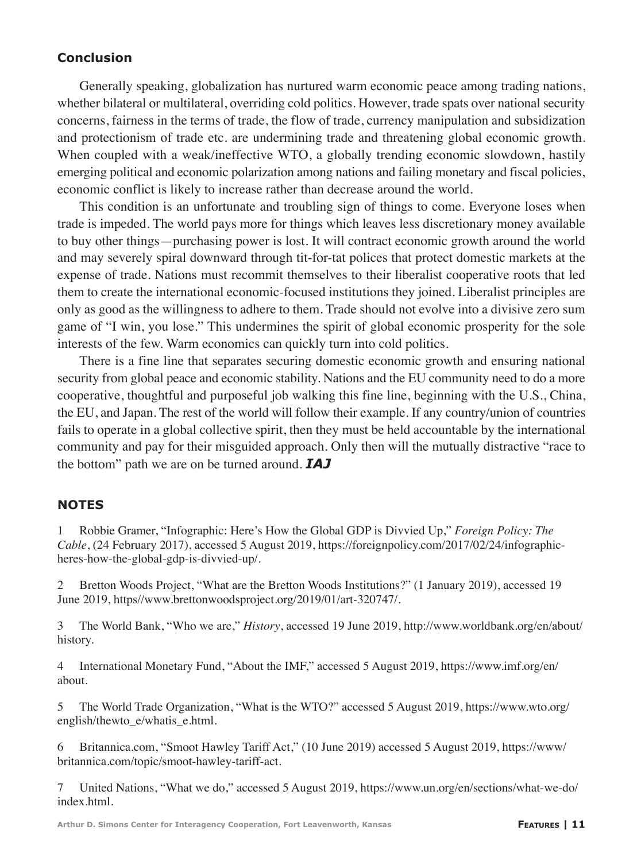## **Conclusion**

Generally speaking, globalization has nurtured warm economic peace among trading nations, whether bilateral or multilateral, overriding cold politics. However, trade spats over national security concerns, fairness in the terms of trade, the flow of trade, currency manipulation and subsidization and protectionism of trade etc. are undermining trade and threatening global economic growth. When coupled with a weak/ineffective WTO, a globally trending economic slowdown, hastily emerging political and economic polarization among nations and failing monetary and fiscal policies, economic conflict is likely to increase rather than decrease around the world.

This condition is an unfortunate and troubling sign of things to come. Everyone loses when trade is impeded. The world pays more for things which leaves less discretionary money available to buy other things—purchasing power is lost. It will contract economic growth around the world and may severely spiral downward through tit-for-tat polices that protect domestic markets at the expense of trade. Nations must recommit themselves to their liberalist cooperative roots that led them to create the international economic-focused institutions they joined. Liberalist principles are only as good as the willingness to adhere to them. Trade should not evolve into a divisive zero sum game of "I win, you lose." This undermines the spirit of global economic prosperity for the sole interests of the few. Warm economics can quickly turn into cold politics.

There is a fine line that separates securing domestic economic growth and ensuring national security from global peace and economic stability. Nations and the EU community need to do a more cooperative, thoughtful and purposeful job walking this fine line, beginning with the U.S., China, the EU, and Japan. The rest of the world will follow their example. If any country/union of countries fails to operate in a global collective spirit, then they must be held accountable by the international community and pay for their misguided approach. Only then will the mutually distractive "race to the bottom" path we are on be turned around. *IAJ*

### **NOTES**

1 Robbie Gramer, "Infographic: Here's How the Global GDP is Divvied Up," *Foreign Policy: The Cable*, (24 February 2017), accessed 5 August 2019, https://foreignpolicy.com/2017/02/24/infographicheres-how-the-global-gdp-is-divvied-up/.

2 Bretton Woods Project, "What are the Bretton Woods Institutions?" (1 January 2019), accessed 19 June 2019, https//www.brettonwoodsproject.org/2019/01/art-320747/.

3 The World Bank, "Who we are," *History*, accessed 19 June 2019, http://www.worldbank.org/en/about/ history.

4 International Monetary Fund, "About the IMF," accessed 5 August 2019, https://www.imf.org/en/ about.

5 The World Trade Organization, "What is the WTO?" accessed 5 August 2019, https://www.wto.org/ english/thewto\_e/whatis\_e.html.

6 Britannica.com, "Smoot Hawley Tariff Act," (10 June 2019) accessed 5 August 2019, https://www/ britannica.com/topic/smoot-hawley-tariff-act.

7 United Nations, "What we do," accessed 5 August 2019, https://www.un.org/en/sections/what-we-do/ index.html.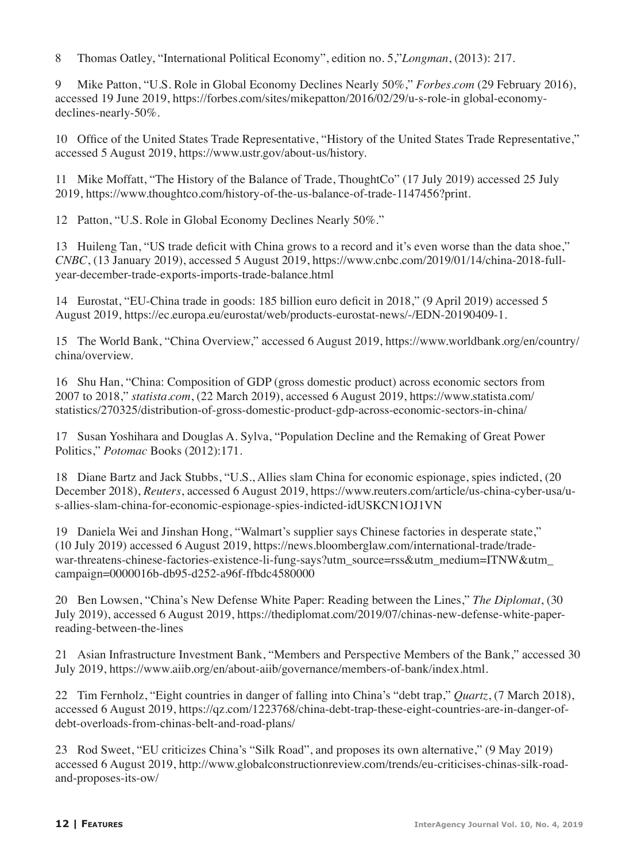8 Thomas Oatley, "International Political Economy", edition no. 5,"*Longman*, (2013): 217.

9 Mike Patton, "U.S. Role in Global Economy Declines Nearly 50%," *Forbes.com* (29 February 2016), accessed 19 June 2019, https://forbes.com/sites/mikepatton/2016/02/29/u-s-role-in global-economydeclines-nearly-50%.

10 Office of the United States Trade Representative, "History of the United States Trade Representative," accessed 5 August 2019, https://www.ustr.gov/about-us/history.

11 Mike Moffatt, "The History of the Balance of Trade, ThoughtCo" (17 July 2019) accessed 25 July 2019, https://www.thoughtco.com/history-of-the-us-balance-of-trade-1147456?print.

12 Patton, "U.S. Role in Global Economy Declines Nearly 50%."

13 Huileng Tan, "US trade deficit with China grows to a record and it's even worse than the data shoe," *CNBC*, (13 January 2019), accessed 5 August 2019, https://www.cnbc.com/2019/01/14/china-2018-fullyear-december-trade-exports-imports-trade-balance.html

14 Eurostat, "EU-China trade in goods: 185 billion euro deficit in 2018," (9 April 2019) accessed 5 August 2019, https://ec.europa.eu/eurostat/web/products-eurostat-news/-/EDN-20190409-1.

15 The World Bank, "China Overview," accessed 6 August 2019, https://www.worldbank.org/en/country/ china/overview.

16 Shu Han, "China: Composition of GDP (gross domestic product) across economic sectors from 2007 to 2018," *statista.com*, (22 March 2019), accessed 6 August 2019, https://www.statista.com/ statistics/270325/distribution-of-gross-domestic-product-gdp-across-economic-sectors-in-china/

17 Susan Yoshihara and Douglas A. Sylva, "Population Decline and the Remaking of Great Power Politics," *Potomac* Books (2012):171.

18 Diane Bartz and Jack Stubbs, "U.S., Allies slam China for economic espionage, spies indicted, (20 December 2018), *Reuters*, accessed 6 August 2019, https://www.reuters.com/article/us-china-cyber-usa/us-allies-slam-china-for-economic-espionage-spies-indicted-idUSKCN1OJ1VN

19 Daniela Wei and Jinshan Hong, "Walmart's supplier says Chinese factories in desperate state," (10 July 2019) accessed 6 August 2019, https://news.bloomberglaw.com/international-trade/tradewar-threatens-chinese-factories-existence-li-fung-says?utm\_source=rss&utm\_medium=ITNW&utm campaign=0000016b-db95-d252-a96f-ffbdc4580000

20 Ben Lowsen, "China's New Defense White Paper: Reading between the Lines," *The Diplomat*, (30 July 2019), accessed 6 August 2019, https://thediplomat.com/2019/07/chinas-new-defense-white-paperreading-between-the-lines

21 Asian Infrastructure Investment Bank, "Members and Perspective Members of the Bank," accessed 30 July 2019, https://www.aiib.org/en/about-aiib/governance/members-of-bank/index.html.

22 Tim Fernholz, "Eight countries in danger of falling into China's "debt trap," *Quartz*, (7 March 2018), accessed 6 August 2019, https://qz.com/1223768/china-debt-trap-these-eight-countries-are-in-danger-ofdebt-overloads-from-chinas-belt-and-road-plans/

23 Rod Sweet, "EU criticizes China's "Silk Road", and proposes its own alternative," (9 May 2019) accessed 6 August 2019, http://www.globalconstructionreview.com/trends/eu-criticises-chinas-silk-roadand-proposes-its-ow/